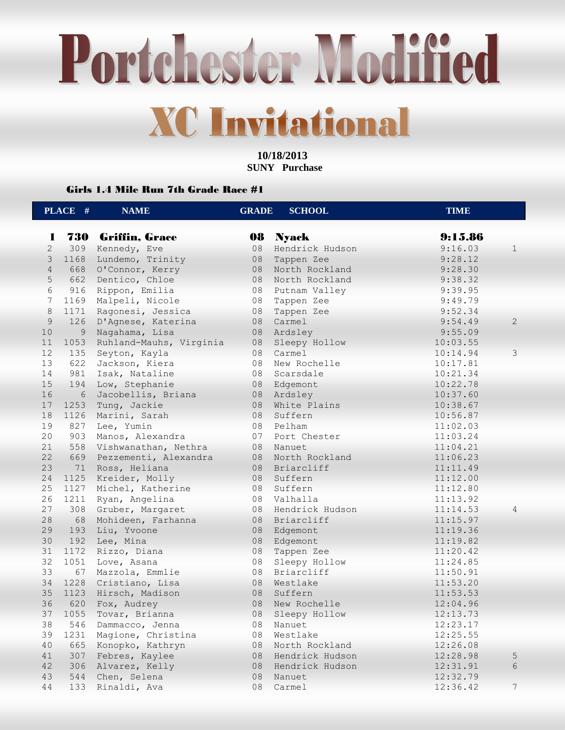Portchester Modified **XC Invitational** 

> **10/18/2013 SUNY Purchase**

#### Girls 1.4 Mile Run 7th Grade Race #1

|                | PLACE # | <b>NAME</b>               | <b>GRADE</b> | <b>SCHOOL</b>    | <b>TIME</b> |                |
|----------------|---------|---------------------------|--------------|------------------|-------------|----------------|
| 1              |         | <b>730 Griffin, Grace</b> | 08           | <b>Nyack</b>     | 9:15.86     |                |
| $\overline{2}$ | 309     | Kennedy, Eve              | 08           | Hendrick Hudson  | 9:16.03     | $\mathbf{1}$   |
| 3              | 1168    | Lundemo, Trinity          | 08           | Tappen Zee       | 9:28.12     |                |
| $\overline{4}$ | 668     | O'Connor, Kerry           | 08           | North Rockland   | 9:28.30     |                |
| 5              | 662     | Dentico, Chloe            | 08           | North Rockland   | 9:38.32     |                |
| 6              | 916     | Rippon, Emilia            | 08           | Putnam Valley    | 9:39.95     |                |
| 7              | 1169    | Malpeli, Nicole           | 08           | Tappen Zee       | 9:49.79     |                |
| $\,8\,$        | 1171    | Ragonesi, Jessica         | 08           | Tappen Zee       | 9:52.34     |                |
| 9              | 126     | D'Agnese, Katerina        | 08           | Carmel           | 9:54.49     | $\overline{2}$ |
| 10             | 9       | Nagahama, Lisa            | 08           | Ardsley          | 9:55.09     |                |
| 11             | 1053    | Ruhland-Mauhs, Virginia   | 08           | Sleepy Hollow    | 10:03.55    |                |
| 12             | 135     | Seyton, Kayla             | 08           | Carmel           | 10:14.94    | 3              |
| 13             | 622     | Jackson, Kiera            | 08           | New Rochelle     | 10:17.81    |                |
| 14             | 981     | Isak, Nataline            | 08           | Scarsdale        | 10:21.34    |                |
| 15             | 194     | Low, Stephanie            |              | 08 Edgemont      | 10:22.78    |                |
| 16             | 6       | Jacobellis, Briana        |              | 08 Ardsley       | 10:37.60    |                |
| 17             | 1253    | Tung, Jackie              | 08           | White Plains     | 10:38.67    |                |
| 18             | 1126    | Marini, Sarah             | 08           | Suffern          | 10:56.87    |                |
| 19             | 827     | Lee, Yumin                | 08           | Pelham           | 11:02.03    |                |
| 20             | 903     | Manos, Alexandra          | 07           | Port Chester     | 11:03.24    |                |
| 21             | 558     | Vishwanathan, Nethra      | 08           | Nanuet           | 11:04.21    |                |
| 22             | 669     | Pezzementi, Alexandra     | 08           | North Rockland   | 11:06.23    |                |
| 23             | 71      | Ross, Heliana             | 08           | Briarcliff       | 11:11.49    |                |
| 24             | 1125    | Kreider, Molly            | 08           | Suffern          | 11:12.00    |                |
| 25             |         | 1127 Michel, Katherine    | 08           | Suffern          | 11:12.80    |                |
| 26             | 1211    |                           | 08           | Valhalla         | 11:13.92    |                |
| 27             |         | Ryan, Angelina            |              | Hendrick Hudson  |             |                |
|                | 308     | Gruber, Margaret          | 08           |                  | 11:14.53    | $\overline{4}$ |
| 28<br>29       | 68      | Mohideen, Farhanna        | 08           | Briarcliff       | 11:15.97    |                |
|                | 193     | Liu, Yvoone               | 08           | Edgemont         | 11:19.36    |                |
| 30             | 192     | Lee, Mina                 | 08           | Edgemont         | 11:19.82    |                |
| 31             | 1172    | Rizzo, Diana              | 08           | Tappen Zee       | 11:20.42    |                |
| 32             | 1051    | Love, Asana               | 08           | Sleepy Hollow    | 11:24.85    |                |
| 33             | 67      | Mazzola, Emmlie           | 08           | Briarcliff       | 11:50.91    |                |
| 34             | 1228    | Cristiano, Lisa           | 08           | Westlake         | 11:53.20    |                |
| 35             | 1123    | Hirsch, Madison           | 08           | Suffern          | 11:53.53    |                |
| 36             | 620     | Fox, Audrey               | 08           | New Rochelle     | 12:04.96    |                |
| 37             | 1055    | Tovar, Brianna            |              | 08 Sleepy Hollow | 12:13.73    |                |
| 38             | 546     | Dammacco, Jenna           | 08           | Nanuet           | 12:23.17    |                |
| 39             | 1231    | Magione, Christina        | 08           | Westlake         | 12:25.55    |                |
| 40             | 665     | Konopko, Kathryn          | 08           | North Rockland   | 12:26.08    |                |
| 41             | 307     | Febres, Kaylee            | 08           | Hendrick Hudson  | 12:28.98    | 5 <sup>5</sup> |
| 42             | 306     | Alvarez, Kelly            | 08           | Hendrick Hudson  | 12:31.91    | 6              |
| 43             | 544     | Chen, Selena              | 08           | Nanuet           | 12:32.79    |                |
| 44             | 133     | Rinaldi, Ava              | 08           | Carmel           | 12:36.42    | 7              |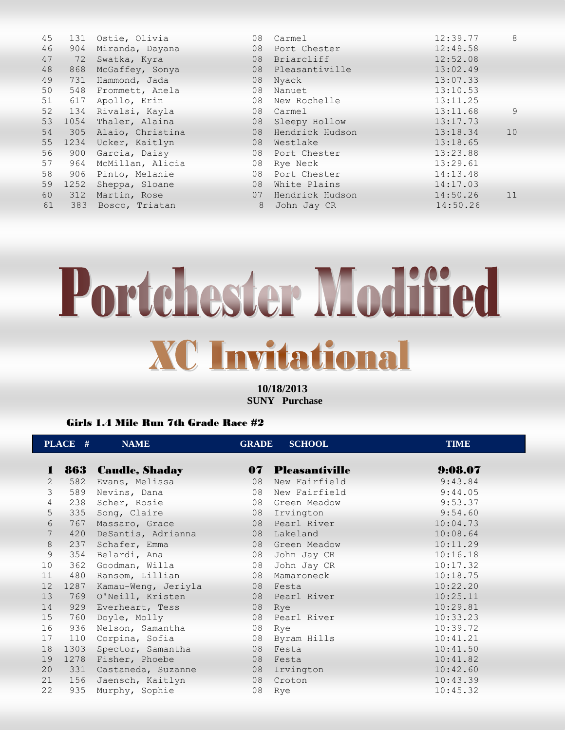| 45 | 131  | Ostie, Olivia        |    | 08 Carmel         | 12:39.77 | 8  |
|----|------|----------------------|----|-------------------|----------|----|
| 46 | 904  | Miranda, Dayana      |    | 08 Port Chester   | 12:49.58 |    |
| 47 | 72   | Swatka, Kyra         | 08 | Briarcliff        | 12:52.08 |    |
| 48 | 868  | McGaffey, Sonya      |    | 08 Pleasantiville | 13:02.49 |    |
| 49 | 731  | Hammond, Jada        |    | 08 Nyack          | 13:07.33 |    |
| 50 | 548  | Frommett, Anela      |    | 08 Nanuet         | 13:10.53 |    |
| 51 | 617  | Apollo, Erin         |    | 08 New Rochelle   | 13:11.25 |    |
| 52 |      | 134 Rivalsi, Kayla   |    | 08 Carmel         | 13:11.68 | 9  |
| 53 | 1054 | Thaler, Alaina       | 08 | Sleepy Hollow     | 13:17.73 |    |
| 54 |      | 305 Alaio, Christina | 08 | Hendrick Hudson   | 13:18.34 | 10 |
| 55 | 1234 | Ucker, Kaitlyn       |    | 08 Westlake       | 13:18.65 |    |
| 56 | 900  | Garcia, Daisy        |    | 08 Port Chester   | 13:23.88 |    |
| 57 | 964  | McMillan, Alicia     | 08 | Rye Neck          | 13:29.61 |    |
| 58 | 906  | Pinto, Melanie       |    | 08 Port Chester   | 14:13.48 |    |
| 59 | 1252 | Sheppa, Sloane       | 08 | White Plains      | 14:17.03 |    |
| 60 | 312  | Martin, Rose         | 07 | Hendrick Hudson   | 14:50.26 | 11 |
| 61 | 383  | Bosco, Triatan       | 8  | John Jay CR       | 14:50.26 |    |
|    |      |                      |    |                   |          |    |

# Portchester Modified **XC Invitational**

**10/18/2013 SUNY Purchase** 

#### Girls 1.4 Mile Run 7th Grade Race #2

|                 | PLACE # | <b>NAME</b>           | <b>GRADE</b> | <b>SCHOOL</b>         | <b>TIME</b> |
|-----------------|---------|-----------------------|--------------|-----------------------|-------------|
| 1               | 863     | <b>Caudle, Shaday</b> | 07           | <b>Pleasantiville</b> | 9:08.07     |
| $\overline{2}$  | 582     | Evans, Melissa        | 08           | New Fairfield         | 9:43.84     |
| $\mathcal{E}$   | 589     | Nevins, Dana          | 08           | New Fairfield         | 9:44.05     |
| 4               | 238     | Scher, Rosie          | 08           | Green Meadow          | 9:53.37     |
| 5               | 335     | Song, Claire          | 08           | Irvington             | 9:54.60     |
| 6               | 767     | Massaro, Grace        |              | 08 Pearl River        | 10:04.73    |
| $7\phantom{.0}$ | 420     | DeSantis, Adrianna    |              | 08 Lakeland           | 10:08.64    |
| 8               | 237     | Schafer, Emma         |              | 08 Green Meadow       | 10:11.29    |
| 9               | 354     | Belardi, Ana          | 08           | John Jay CR           | 10:16.18    |
| 10 <sup>°</sup> | 362     | Goodman, Willa        | 08           | John Jay CR           | 10:17.32    |
| 11              | 480     | Ransom, Lillian       | 08           | Mamaroneck            | 10:18.75    |
| 12              | 1287    | Kamau-Weng, Jeriyla   |              | 08 Festa              | 10:22.20    |
| 13              | 769     | O'Neill, Kristen      |              | 08 Pearl River        | 10:25.11    |
| 14              | 929     | Everheart, Tess       | 08 Rye       |                       | 10:29.81    |
| 15              | 760     | Doyle, Molly          |              | 08 Pearl River        | 10:33.23    |
| 16              | 936     | Nelson, Samantha      | 08           | Rye                   | 10:39.72    |
| 17              | 110     | Corpina, Sofia        | 08           | Byram Hills           | 10:41.21    |
| 18              | 1303    | Spector, Samantha     |              | 08 Festa              | 10:41.50    |
| 19              | 1278    | Fisher, Phoebe        |              | 08 Festa              | 10:41.82    |
| 20 <sub>2</sub> | 331     | Castaneda, Suzanne    |              | 08 Irvington          | 10:42.60    |
| 21              | 156     | Jaensch, Kaitlyn      |              | 08 Croton             | 10:43.39    |
| 22              | 935     | Murphy, Sophie        | 08           | Rye                   | 10:45.32    |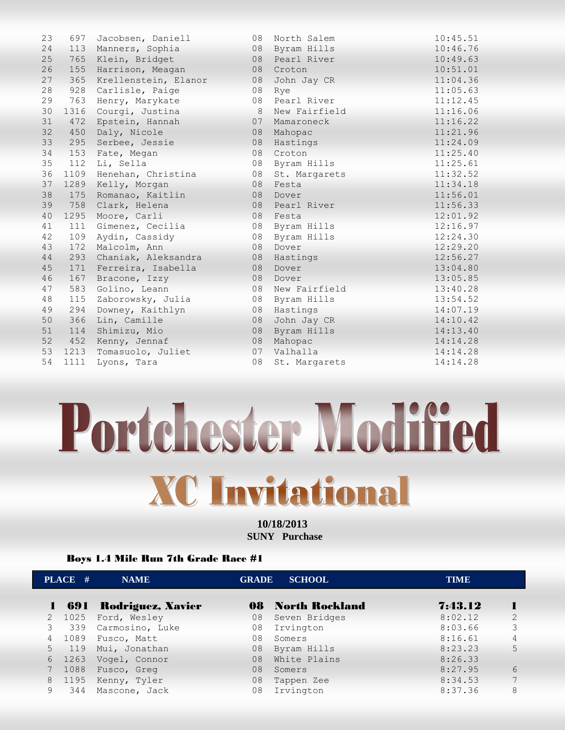| 23 | 697  | Jacobsen, Daniell    | 08 | North Salem   | 10:45.51 |
|----|------|----------------------|----|---------------|----------|
| 24 |      | 113 Manners, Sophia  | 08 | Byram Hills   | 10:46.76 |
| 25 | 765  | Klein, Bridget       | 08 | Pearl River   | 10:49.63 |
| 26 | 155  | Harrison, Meagan     | 08 | Croton        | 10:51.01 |
| 27 | 365  | Krellenstein, Elanor | 08 | John Jay CR   | 11:04.36 |
| 28 | 928  | Carlisle, Paige      | 08 | Rye           | 11:05.63 |
| 29 | 763  | Henry, Marykate      | 08 | Pearl River   | 11:12.45 |
| 30 | 1316 | Courgi, Justina      | 8  | New Fairfield | 11:16.06 |
| 31 | 472  | Epstein, Hannah      | 07 | Mamaroneck    | 11:16.22 |
| 32 | 450  | Daly, Nicole         | 08 | Mahopac       | 11:21.96 |
| 33 | 295  | Serbee, Jessie       | 08 | Hastings      | 11:24.09 |
| 34 | 153  | Fate, Megan          | 08 | Croton        | 11:25.40 |
| 35 | 112  | Li, Sella            | 08 | Byram Hills   | 11:25.61 |
| 36 | 1109 | Henehan, Christina   | 08 | St. Margarets | 11:32.52 |
| 37 |      | 1289 Kelly, Morgan   | 08 | Festa         | 11:34.18 |
| 38 | 175  | Romanao, Kaitlin     | 08 | Dover         | 11:56.01 |
| 39 | 758  | Clark, Helena        | 08 | Pearl River   | 11:56.33 |
| 40 | 1295 | Moore, Carli         | 08 | Festa         | 12:01.92 |
| 41 | 111  | Gimenez, Cecilia     | 08 | Byram Hills   | 12:16.97 |
| 42 | 109  | Aydin, Cassidy       | 08 | Byram Hills   | 12:24.30 |
| 43 | 172  | Malcolm, Ann         | 08 | Dover         | 12:29.20 |
| 44 | 293  | Chaniak, Aleksandra  | 08 | Hastings      | 12:56.27 |
| 45 | 171  | Ferreira, Isabella   | 08 | Dover         | 13:04.80 |
| 46 | 167  | Bracone, Izzy        | 08 | Dover         | 13:05.85 |
| 47 | 583  | Golino, Leann        | 08 | New Fairfield | 13:40.28 |
| 48 | 115  | Zaborowsky, Julia    | 08 | Byram Hills   | 13:54.52 |
| 49 | 294  | Downey, Kaithlyn     | 08 | Hastings      | 14:07.19 |
| 50 | 366  | Lin, Camille         | 08 | John Jay CR   | 14:10.42 |
| 51 | 114  | Shimizu, Mio         | 08 | Byram Hills   | 14:13.40 |
| 52 | 452  | Kenny, Jennaf        | 08 | Mahopac       | 14:14.28 |
| 53 | 1213 | Tomasuolo, Juliet    | 07 | Valhalla      | 14:14.28 |
| 54 | 1111 | Lyons, Tara          | 08 | St. Margarets | 14:14.28 |
|    |      |                      |    |               |          |

## Portchester Modified **XC Invitational**

**10/18/2013 SUNY Purchase** 

#### Boys 1.4 Mile Run 7th Grade Race #1

|   | PLACE # | <b>NAME</b>           |    | <b>GRADE SCHOOL</b>      | <b>TIME</b> |               |
|---|---------|-----------------------|----|--------------------------|-------------|---------------|
|   |         | 691 Rodriguez, Xavier |    | <b>08 North Rockland</b> | 7:43.12     |               |
|   | 2 1025  | Ford, Wesley          | 08 | Seven Bridges            | 8:02.12     | $\mathcal{L}$ |
|   | 3 339   | Carmosino, Luke       | 08 | Irvington                | 8:03.66     | 3             |
|   | 4 1089  | Fusco, Matt           | 08 | Somers                   | 8:16.61     | 4             |
|   | 5 119   | Mui, Jonathan         | 08 | Byram Hills              | 8:23.23     | 5             |
|   | 6 1263  | Vogel, Connor         | 08 | White Plains             | 8:26.33     |               |
|   | 7 1088  | Fusco, Greg           | 08 | Somers                   | 8:27.95     | 6             |
|   | 8 1195  | Kenny, Tyler          | 08 | Tappen Zee               | 8:34.53     |               |
| 9 | 344     | Mascone, Jack         | 08 | Irvington                | 8:37.36     | 8             |
|   |         |                       |    |                          |             |               |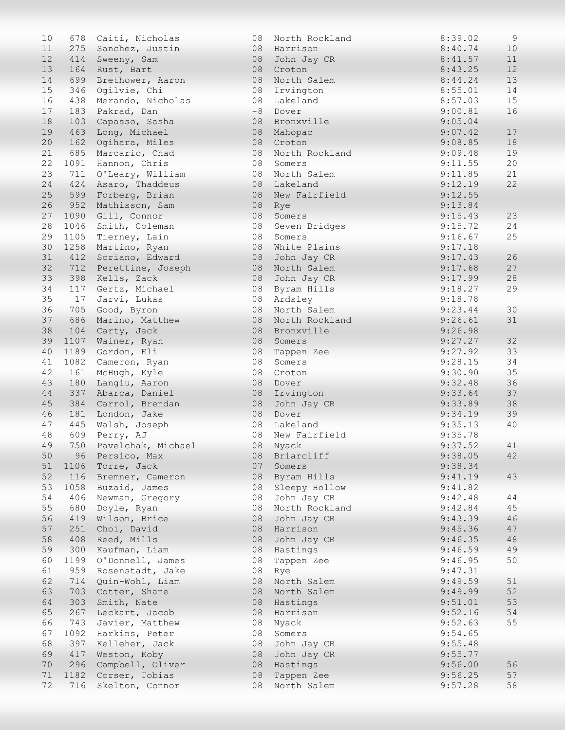| 10       | 678  | Caiti, Nicholas        | 08   | North Rockland | 8:39.02 | 9      |
|----------|------|------------------------|------|----------------|---------|--------|
| 11       | 275  | Sanchez, Justin        | 08   | Harrison       | 8:40.74 | 10     |
| 12       |      | 414 Sweeny, Sam        | 08   | John Jay CR    | 8:41.57 | 11     |
| 13       | 164  | Rust, Bart             | 08   | Croton         | 8:43.25 | 12     |
| 14       | 699  | Brethower, Aaron       | 08   | North Salem    | 8:44.24 | 13     |
| 15       | 346  | Ogilvie, Chi           | 08   | Irvington      | 8:55.01 | 14     |
| 16       | 438  | Merando, Nicholas      | 08   | Lakeland       | 8:57.03 | 15     |
| 17       | 183  | Pakrad, Dan            | $-8$ | Dover          | 9:00.81 | 16     |
| 18       | 103  | Capasso, Sasha         | 08   | Bronxville     | 9:05.04 |        |
| 19       | 463  | Long, Michael          | 08   | Mahopac        | 9:07.42 | 17     |
| 20       |      | 162 Ogihara, Miles     | 08   | Croton         | 9:08.85 | 18     |
| 21       |      | 685 Marcario, Chad     | 08   | North Rockland | 9:09.48 | 19     |
| 22       |      | 1091 Hannon, Chris     | 08   | Somers         | 9:11.55 | 20     |
| 23       | 711  | O'Leary, William       | 08   | North Salem    | 9:11.85 | 21     |
| 24       | 424  | Asaro, Thaddeus        | 08   | Lakeland       | 9:12.19 | 22     |
| 25       | 599  | Forberg, Brian         | 08   | New Fairfield  | 9:12.55 |        |
| 26       | 952  | Mathisson, Sam         | 08   | Rye            | 9:13.84 |        |
| 27       |      | 1090 Gill, Connor      | 08   | Somers         | 9:15.43 | 23     |
| 28       |      | 1046 Smith, Coleman    | 08   | Seven Bridges  | 9:15.72 | 24     |
| 29       |      | 1105 Tierney, Lain     | 08   | Somers         | 9:16.67 | 25     |
| 30       |      | 1258 Martino, Ryan     | 08   | White Plains   | 9:17.18 |        |
| 31       |      | 412 Soriano, Edward    | 08   | John Jay CR    | 9:17.43 | 26     |
| 32       |      | 712 Perettine, Joseph  | 08   | North Salem    | 9:17.68 | 27     |
| 33       | 398  | Kells, Zack            | 08   | John Jay CR    | 9:17.99 | 28     |
| 34       | 117  | Gertz, Michael         | 08   | Byram Hills    | 9:18.27 | 29     |
| 35       | 17   | Jarvi, Lukas           | 08   | Ardsley        | 9:18.78 |        |
| 36       | 705  | Good, Byron            | 08   | North Salem    | 9:23.44 | 30     |
| 37       | 686  | Marino, Matthew        | 08   | North Rockland | 9:26.61 | 31     |
| 38       |      | 104 Carty, Jack        | 08   | Bronxville     | 9:26.98 |        |
| 39       |      | 1107 Wainer, Ryan      | 08   | Somers         | 9:27.27 | 32     |
| 40       | 1189 | Gordon, Eli            | 08   | Tappen Zee     | 9:27.92 | 33     |
| 41       | 1082 | Cameron, Ryan          | 08   | Somers         | 9:28.15 | 34     |
| 42       | 161  | McHugh, Kyle           | 08   | Croton         | 9:30.90 | 35     |
| 43       | 180  | Langiu, Aaron          | 08   | Dover          | 9:32.48 | 36     |
| 44       | 337  | Abarca, Daniel         | 08   | Irvington      | 9:33.64 | 37     |
| 45       |      | 384 Carrol, Brendan    | 08   | John Jay CR    | 9:33.89 | 38     |
| 46       |      | 181 London, Jake       | 08   | Dover          | 9:34.19 | 39     |
| 47       | 445  | Walsh, Joseph          |      | 08 Lakeland    | 9:35.13 | 40     |
| 48       | 609  | Perry, AJ              | 08   | New Fairfield  | 9:35.78 |        |
| 49       |      | 750 Pavelchak, Michael |      | 08 Nyack       | 9:37.52 | 41     |
| 50       |      | 96 Persico, Max        | 08   | Briarcliff     | 9:38.05 | 42     |
| 51       |      | 1106 Torre, Jack       | 07   | Somers         | 9:38.34 |        |
| 52       |      | 116 Bremner, Cameron   | 08   | Byram Hills    | 9:41.19 | 43     |
| 53       |      | 1058 Buzaid, James     | 08   | Sleepy Hollow  | 9:41.82 |        |
| 54       | 406  | Newman, Gregory        | 08   | John Jay CR    | 9:42.48 | 44     |
| 55       | 680  | Doyle, Ryan            | 08   | North Rockland | 9:42.84 | 45     |
| 56       | 419  | Wilson, Brice          | 08   | John Jay CR    | 9:43.39 | 46     |
| 57       | 251  | Choi, David            | 08   | Harrison       | 9:45.36 | 47     |
| 58       | 408  | Reed, Mills            | 08   | John Jay CR    | 9:46.35 | $4\,8$ |
| 59       | 300  | Kaufman, Liam          | 08   | Hastings       | 9:46.59 | 49     |
| 60       | 1199 | O'Donnell, James       | 08   | Tappen Zee     | 9:46.95 | 50     |
| 61       | 959  | Rosenstadt, Jake       | 08   | Rye            | 9:47.31 |        |
| 62       | 714  | Quin-Wohl, Liam        | 08   | North Salem    | 9:49.59 | 51     |
| 63       | 703  | Cotter, Shane          | 08   | North Salem    | 9:49.99 | 52     |
| 64       | 303  | Smith, Nate            | 08   | Hastings       | 9:51.01 | 53     |
| 65       | 267  | Leckart, Jacob         | 08   | Harrison       | 9:52.16 | 54     |
| 66       | 743  | Javier, Matthew        | 08   |                | 9:52.63 | 55     |
| 67       | 1092 |                        | 08   | Nyack          | 9:54.65 |        |
| 68       | 397  | Harkins, Peter         | 08   | Somers         | 9:55.48 |        |
| 69       | 417  | Kelleher, Jack         |      | John Jay CR    | 9:55.77 |        |
|          |      | Weston, Koby           | 08   | John Jay CR    |         |        |
| 70       | 296  | Campbell, Oliver       | 08   | Hastings       | 9:56.00 | 56     |
| 71<br>72 | 1182 | Corser, Tobias         | 08   | Tappen Zee     | 9:56.25 | 57     |
|          | 716  | Skelton, Connor        | 08   | North Salem    | 9:57.28 | 58     |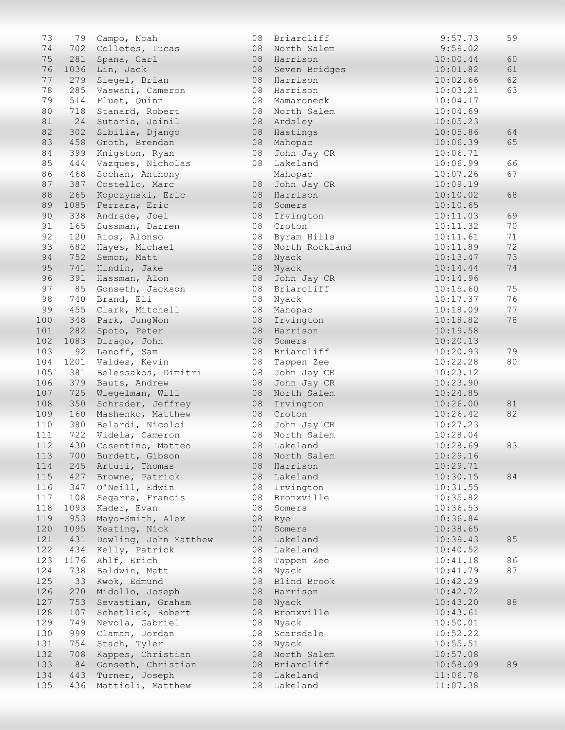| 73  | 79   | Campo, Noah           | 08 | Briarcliff     | 9:57.73  | 59       |
|-----|------|-----------------------|----|----------------|----------|----------|
| 74  | 702  | Colletes, Lucas       | 08 | North Salem    | 9:59.02  |          |
| 75  | 281  | Spana, Carl           | 08 | Harrison       | 10:00.44 | 60       |
| 76  | 1036 | Lin, Jack             | 08 | Seven Bridges  | 10:01.82 | 61       |
| 77  | 279  | Siegel, Brian         | 08 | Harrison       | 10:02.66 | 62       |
| 78  | 285  | Vaswani, Cameron      | 08 | Harrison       | 10:03.21 | 63       |
| 79  | 514  | Fluet, Quinn          | 08 | Mamaroneck     | 10:04.17 |          |
| 80  | 718  | Stanard, Robert       | 08 | North Salem    | 10:04.69 |          |
| 81  | 24   | Sutaria, Jainil       | 08 | Ardsley        | 10:05.23 |          |
| 82  | 302  | Sibilia, Django       | 08 | Hastings       | 10:05.86 | 64       |
| 83  | 458  | Groth, Brendan        | 08 | Mahopac        | 10:06.39 | 65       |
| 84  | 399  |                       |    | John Jay CR    |          |          |
|     |      | Knigston, Ryan        | 08 |                | 10:06.71 |          |
| 85  | 444  | Vazques, Nicholas     | 08 | Lakeland       | 10:06.99 | 66       |
| 86  | 468  | Sochan, Anthony       |    | Mahopac        | 10:07.26 | 67       |
| 87  | 387  | Costello, Marc        | 08 | John Jay CR    | 10:09.19 |          |
| 88  | 265  | Kopczynski, Eric      | 08 | Harrison       | 10:10.02 | 68       |
| 89  | 1085 | Ferrara, Eric         | 08 | Somers         | 10:10.65 |          |
| 90  | 338  | Andrade, Joel         | 08 | Irvington      | 10:11.03 | 69       |
| 91  | 165  | Sussman, Darren       | 08 | Croton         | 10:11.32 | 70       |
| 92  | 120  | Rios, Alonso          | 08 | Byram Hills    | 10:11.61 | 71       |
| 93  | 682  | Hayes, Michael        | 08 | North Rockland | 10:11.89 | 72       |
| 94  | 752  | Semon, Matt           | 08 | Nyack          | 10:13.47 | 73       |
| 95  | 741  | Hindin, Jake          | 08 | Nyack          | 10:14.44 | 74       |
| 96  | 391  | Hassman, Alon         | 08 | John Jay CR    | 10:14.96 |          |
| 97  | 85   | Gonseth, Jackson      | 08 | Briarcliff     | 10:15.60 | 75       |
| 98  | 740  | Brand, Eli            | 08 | Nyack          | 10:17.37 | 76       |
| 99  | 455  | Clark, Mitchell       | 08 | Mahopac        | 10:18.09 | 77       |
| 100 | 348  | Park, JungWon         | 08 | Irvington      | 10:18.82 | 78       |
| 101 | 282  | Spoto, Peter          | 08 | Harrison       | 10:19.58 |          |
| 102 | 1083 | Dirago, John          | 08 | Somers         | 10:20.13 |          |
| 103 | 92   | Lanoff, Sam           | 08 | Briarcliff     | 10:20.93 | 79       |
| 104 | 1201 | Valdes, Kevin         | 08 | Tappen Zee     | 10:22.28 | 80       |
| 105 | 381  | Belessakos, Dimitri   | 08 | John Jay CR    | 10:23.12 |          |
| 106 | 379  | Bauts, Andrew         | 08 | John Jay CR    | 10:23.90 |          |
| 107 | 725  | Wiegelman, Will       | 08 | North Salem    | 10:24.85 |          |
| 108 | 350  |                       | 08 | Irvington      |          |          |
| 109 |      | Schrader, Jeffrey     |    |                | 10:26.00 | 81<br>82 |
|     | 160  | Mashenko, Matthew     | 08 | Croton         | 10:26.42 |          |
| 110 | 380  | Belardi, Nicoloi      | 08 | John Jay CR    | 10:27.23 |          |
| 111 | 722  | Videla, Cameron       | 08 | North Salem    | 10:28.04 |          |
| 112 | 430  | Cosentino, Matteo     |    | 08 Lakeland    | 10:28.69 | 83       |
| 113 | 700  | Burdett, Gibson       | 08 | North Salem    | 10:29.16 |          |
| 114 | 245  | Arturi, Thomas        | 08 | Harrison       | 10:29.71 |          |
| 115 | 427  | Browne, Patrick       | 08 | Lakeland       | 10:30.15 | 84       |
| 116 | 347  | O'Neill, Edwin        | 08 | Irvington      | 10:31.55 |          |
| 117 | 108  | Segarra, Francis      | 08 | Bronxville     | 10:35.82 |          |
| 118 | 1093 | Kader, Evan           | 08 | Somers         | 10:36.53 |          |
| 119 | 953  | Mayo-Smith, Alex      | 08 | Rye            | 10:36.84 |          |
| 120 | 1095 | Keating, Nick         | 07 | Somers         | 10:38.65 |          |
| 121 | 431  | Dowling, John Matthew | 08 | Lakeland       | 10:39.43 | 85       |
| 122 | 434  | Kelly, Patrick        | 08 | Lakeland       | 10:40.52 |          |
| 123 | 1176 | Ahlf, Erich           | 08 | Tappen Zee     | 10:41.18 | 86       |
| 124 | 738  | Baldwin, Matt         | 08 | Nyack          | 10:41.79 | 87       |
| 125 | 33   | Kwok, Edmund          | 08 | Blind Brook    | 10:42.29 |          |
| 126 | 270  | Midollo, Joseph       | 08 | Harrison       | 10:42.72 |          |
| 127 | 753  | Sevastian, Graham     | 08 | Nyack          | 10:43.20 | 88       |
| 128 | 107  | Schetlick, Robert     | 08 | Bronxville     | 10:43.61 |          |
| 129 | 749  | Nevola, Gabriel       | 08 | Nyack          | 10:50.01 |          |
| 130 | 999  | Claman, Jordan        | 08 | Scarsdale      | 10:52.22 |          |
| 131 | 754  | Stach, Tyler          | 08 | Nyack          | 10:55.51 |          |
| 132 | 708  | Kappes, Christian     | 08 | North Salem    | 10:57.08 |          |
| 133 |      |                       |    |                |          | 89       |
|     | 84   | Gonseth, Christian    | 08 | Briarcliff     | 10:58.09 |          |
| 134 | 443  | Turner, Joseph        | 08 | Lakeland       | 11:06.78 |          |
| 135 | 436  | Mattioli, Matthew     | 08 | Lakeland       | 11:07.38 |          |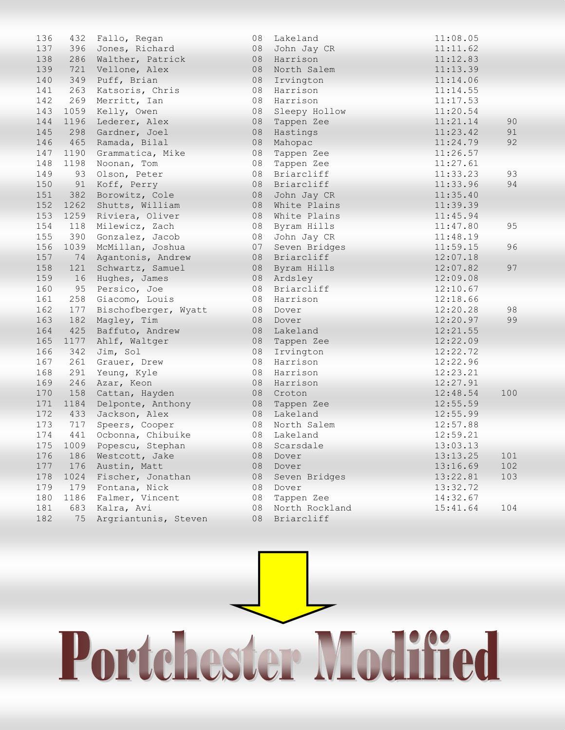| 136 | 432  | Fallo, Regan         | 08 | Lakeland       | 11:08.05 |     |
|-----|------|----------------------|----|----------------|----------|-----|
| 137 | 396  | Jones, Richard       | 08 | John Jay CR    | 11:11.62 |     |
| 138 | 286  | Walther, Patrick     | 08 | Harrison       | 11:12.83 |     |
| 139 | 721  | Vellone, Alex        | 08 | North Salem    | 11:13.39 |     |
| 140 | 349  | Puff, Brian          | 08 | Irvington      | 11:14.06 |     |
| 141 | 263  | Katsoris, Chris      | 08 | Harrison       | 11:14.55 |     |
| 142 | 269  | Merritt, Ian         | 08 | Harrison       | 11:17.53 |     |
| 143 | 1059 | Kelly, Owen          | 08 | Sleepy Hollow  | 11:20.54 |     |
| 144 | 1196 | Lederer, Alex        | 08 | Tappen Zee     | 11:21.14 | 90  |
| 145 | 298  | Gardner, Joel        | 08 | Hastings       | 11:23.42 | 91  |
| 146 | 465  | Ramada, Bilal        | 08 | Mahopac        | 11:24.79 | 92  |
| 147 | 1190 | Grammatica, Mike     | 08 | Tappen Zee     | 11:26.57 |     |
| 148 | 1198 | Noonan, Tom          | 08 | Tappen Zee     | 11:27.61 |     |
| 149 | 93   | Olson, Peter         | 08 | Briarcliff     | 11:33.23 | 93  |
| 150 | 91   | Koff, Perry          | 08 | Briarcliff     | 11:33.96 | 94  |
| 151 | 382  | Borowitz, Cole       | 08 | John Jay CR    | 11:35.40 |     |
| 152 | 1262 | Shutts, William      | 08 | White Plains   | 11:39.39 |     |
| 153 |      | 1259 Riviera, Oliver | 08 | White Plains   | 11:45.94 |     |
| 154 | 118  | Milewicz, Zach       | 08 | Byram Hills    | 11:47.80 | 95  |
| 155 | 390  | Gonzalez, Jacob      | 08 | John Jay CR    | 11:48.19 |     |
| 156 | 1039 | McMillan, Joshua     | 07 | Seven Bridges  | 11:59.15 | 96  |
| 157 | 74   | Agantonis, Andrew    | 08 | Briarcliff     | 12:07.18 |     |
| 158 | 121  | Schwartz, Samuel     | 08 | Byram Hills    | 12:07.82 | 97  |
| 159 | 16   | Hughes, James        | 08 | Ardsley        | 12:09.08 |     |
| 160 | 95   | Persico, Joe         | 08 | Briarcliff     | 12:10.67 |     |
| 161 | 258  | Giacomo, Louis       | 08 | Harrison       | 12:18.66 |     |
| 162 | 177  | Bischofberger, Wyatt | 08 | Dover          | 12:20.28 | 98  |
| 163 | 182  | Magley, Tim          | 08 | Dover          | 12:20.97 | 99  |
| 164 | 425  | Baffuto, Andrew      | 08 | Lakeland       | 12:21.55 |     |
| 165 | 1177 | Ahlf, Waltger        | 08 | Tappen Zee     | 12:22.09 |     |
| 166 | 342  | Jim, Sol             | 08 | Irvington      | 12:22.72 |     |
| 167 | 261  | Grauer, Drew         | 08 | Harrison       | 12:22.96 |     |
| 168 | 291  | Yeung, Kyle          | 08 | Harrison       | 12:23.21 |     |
| 169 | 246  | Azar, Keon           | 08 | Harrison       | 12:27.91 |     |
| 170 | 158  | Cattan, Hayden       | 08 | Croton         | 12:48.54 | 100 |
| 171 | 1184 | Delponte, Anthony    | 08 | Tappen Zee     | 12:55.59 |     |
| 172 | 433  | Jackson, Alex        | 08 | Lakeland       | 12:55.99 |     |
| 173 | 717  | Speers, Cooper       | 08 | North Salem    | 12:57.88 |     |
| 174 | 441  | Ocbonna, Chibuike    | 08 | Lakeland       | 12:59.21 |     |
| 175 | 1009 | Popescu, Stephan     |    | 08 Scarsdale   | 13:03.13 |     |
| 176 | 186  | Westcott, Jake       | 08 | Dover          | 13:13.25 | 101 |
| 177 | 176  | Austin, Matt         | 08 | Dover          | 13:16.69 | 102 |
| 178 | 1024 | Fischer, Jonathan    | 08 | Seven Bridges  | 13:22.81 | 103 |
| 179 | 179  | Fontana, Nick        | 08 | Dover          | 13:32.72 |     |
| 180 | 1186 | Falmer, Vincent      | 08 | Tappen Zee     | 14:32.67 |     |
| 181 | 683  | Kalra, Avi           | 08 | North Rockland | 15:41.64 | 104 |
| 182 | 75   | Argriantunis, Steven | 08 | Briarcliff     |          |     |

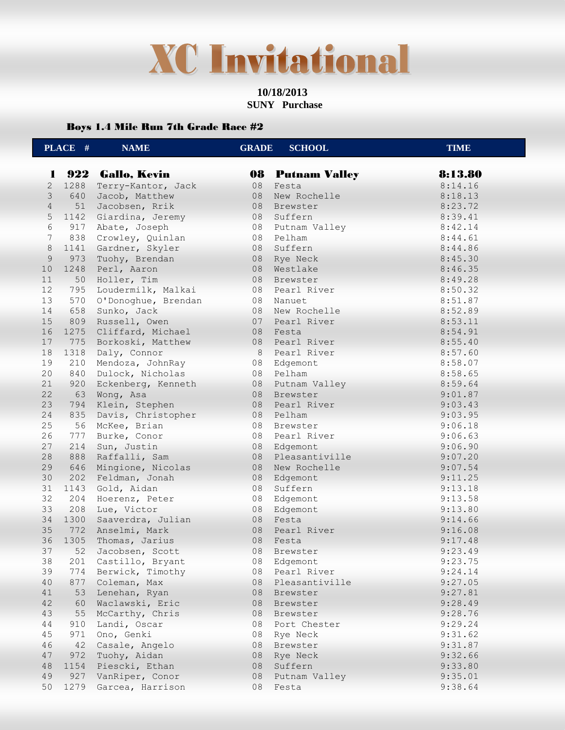### **XC Invitational**

#### **10/18/2013 SUNY Purchase**

#### Boys 1.4 Mile Run 7th Grade Race #2

|                     | PLACE # | <b>NAME</b>         | <b>GRADE</b> | <b>SCHOOL</b>           | <b>TIME</b> |
|---------------------|---------|---------------------|--------------|-------------------------|-------------|
|                     |         |                     |              |                         |             |
| л.                  |         | 922 Gallo, Kevin    |              | <b>08 Putnam Valley</b> | 8:13.80     |
| $\overline{2}$<br>3 | 1288    | Terry-Kantor, Jack  | 08           | Festa                   | 8:14.16     |
| $\overline{4}$      | 640     | Jacob, Matthew      | 08           | New Rochelle            | 8:18.13     |
|                     | 51      | Jacobsen, Rrik      |              | 08 Brewster             | 8:23.72     |
| 5                   | 1142    | Giardina, Jeremy    | 08           | Suffern                 | 8:39.41     |
| 6                   | 917     | Abate, Joseph       | 08           | Putnam Valley           | 8:42.14     |
| $7\phantom{.0}$     | 838     | Crowley, Quinlan    | 08           | Pelham                  | 8:44.61     |
| 8                   | 1141    | Gardner, Skyler     | 08           | Suffern                 | 8:44.86     |
| $\overline{9}$      | 973     | Tuohy, Brendan      |              | 08 Rye Neck             | 8:45.30     |
| 10                  | 1248    | Perl, Aaron         |              | 08 Westlake             | 8:46.35     |
| 11                  | 50      | Holler, Tim         |              | 08 Brewster             | 8:49.28     |
| 12                  | 795     | Loudermilk, Malkai  |              | 08 Pearl River          | 8:50.32     |
| 13                  | 570     | O'Donoghue, Brendan | 08           | Nanuet                  | 8:51.87     |
| 14                  | 658     | Sunko, Jack         | 08           | New Rochelle            | 8:52.89     |
| 15                  | 809     | Russell, Owen       |              | 07 Pearl River          | 8:53.11     |
| 16                  | 1275    | Cliffard, Michael   |              | 08 Festa                | 8:54.91     |
| 17                  | 775     | Borkoski, Matthew   |              | 08 Pearl River          | 8:55.40     |
| 18                  | 1318    | Daly, Connor        | 8            | Pearl River             | 8:57.60     |
| 19                  | 210     | Mendoza, JohnRay    | 08           | Edgemont                | 8:58.07     |
| 20                  | 840     | Dulock, Nicholas    | 08           | Pelham                  | 8:58.65     |
| 21                  | 920     | Eckenberg, Kenneth  |              | 08 Putnam Valley        | 8:59.64     |
| 22                  | 63      | Wong, Asa           | 08           | Brewster                | 9:01.87     |
| 23                  | 794     | Klein, Stephen      |              | 08 Pearl River          | 9:03.43     |
| 24                  | 835     | Davis, Christopher  |              | 08 Pelham               | 9:03.95     |
| 25                  | 56      | McKee, Brian        | 08           | Brewster                | 9:06.18     |
| 26                  | 777     | Burke, Conor        | 08           | Pearl River             | 9:06.63     |
| 27                  | 214     | Sun, Justin         |              | 08 Edgemont             | 9:06.90     |
| 28                  | 888     | Raffalli, Sam       |              | 08 Pleasantiville       | 9:07.20     |
| 29                  | 646     | Mingione, Nicolas   | 08           | New Rochelle            | 9:07.54     |
| 30                  | 202     | Feldman, Jonah      | 08           | Edgemont                | 9:11.25     |
| 31                  | 1143    | Gold, Aidan         | 08           | Suffern                 | 9:13.18     |
| 32                  | 204     | Hoerenz, Peter      | 08           | Edgemont                | 9:13.58     |
| 33                  | 208     | Lue, Victor         | 08           | Edgemont                | 9:13.80     |
| 34                  | 1300    | Saaverdra, Julian   | 08           | Festa                   | 9:14.66     |
| 35                  | 772     | Anselmi, Mark       |              | 08 Pearl River          | 9:16.08     |
| 36                  | 1305    | Thomas, Jarius      | 08           | Festa                   | 9:17.48     |
| 37                  | 52      | Jacobsen, Scott     | 08           | Brewster                | 9:23.49     |
| 38                  | 201     | Castillo, Bryant    | 08           | Edgemont                | 9:23.75     |
| 39                  | 774     | Berwick, Timothy    | 08           | Pearl River             | 9:24.14     |
| 40                  | 877     | Coleman, Max        | 08           | Pleasantiville          | 9:27.05     |
| 41                  | 53      | Lenehan, Ryan       | 08           | Brewster                | 9:27.81     |
| 42                  | 60      | Waclawski, Eric     | 08           | Brewster                | 9:28.49     |
| 43                  | 55      | McCarthy, Chris     | 08           | Brewster                | 9:28.76     |
| 44                  | 910     | Landi, Oscar        | 08           | Port Chester            | 9:29.24     |
| 45                  | 971     | Ono, Genki          | 08           | Rye Neck                | 9:31.62     |
| 46                  | 42      | Casale, Angelo      | 08           | Brewster                | 9:31.87     |
| 47                  | 972     | Tuohy, Aidan        | 08           | Rye Neck                | 9:32.66     |
| 48                  | 1154    | Piescki, Ethan      | 08           | Suffern                 | 9:33.80     |
| 49                  | 927     | VanRiper, Conor     | 08           | Putnam Valley           | 9:35.01     |
| 50                  | 1279    | Garcea, Harrison    | 08           | Festa                   | 9:38.64     |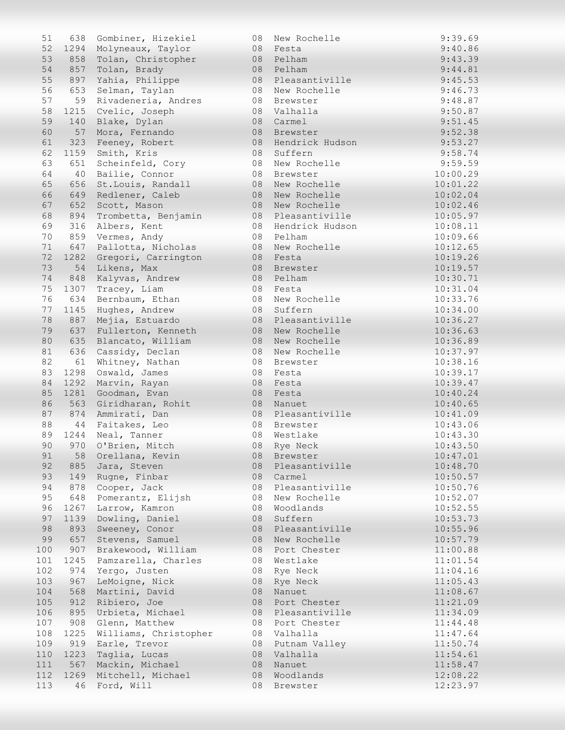| 51  | 638  | Gombiner, Hizekiel    | 08 | New Rochelle    | 9:39.69  |
|-----|------|-----------------------|----|-----------------|----------|
| 52  | 1294 | Molyneaux, Taylor     | 08 | Festa           | 9:40.86  |
| 53  | 858  | Tolan, Christopher    | 08 | Pelham          | 9:43.39  |
| 54  | 857  | Tolan, Brady          | 08 | Pelham          | 9:44.81  |
|     |      |                       |    |                 |          |
| 55  | 897  | Yahia, Philippe       | 08 | Pleasantiville  | 9:45.53  |
| 56  | 653  | Selman, Taylan        | 08 | New Rochelle    | 9:46.73  |
| 57  | 59   | Rivadeneria, Andres   | 08 | Brewster        | 9:48.87  |
| 58  | 1215 | Cvelic, Joseph        | 08 | Valhalla        | 9:50.87  |
| 59  | 140  | Blake, Dylan          | 08 | Carmel          | 9:51.45  |
| 60  | 57   | Mora, Fernando        | 08 | Brewster        | 9:52.38  |
| 61  | 323  | Feeney, Robert        | 08 | Hendrick Hudson | 9:53.27  |
| 62  | 1159 |                       | 08 | Suffern         | 9:58.74  |
|     |      | Smith, Kris           |    |                 |          |
| 63  | 651  | Scheinfeld, Cory      | 08 | New Rochelle    | 9:59.59  |
| 64  | 40   | Bailie, Connor        | 08 | Brewster        | 10:00.29 |
| 65  | 656  | St. Louis, Randall    | 08 | New Rochelle    | 10:01.22 |
| 66  | 649  | Redlener, Caleb       | 08 | New Rochelle    | 10:02.04 |
| 67  | 652  | Scott, Mason          | 08 | New Rochelle    | 10:02.46 |
| 68  | 894  | Trombetta, Benjamin   | 08 | Pleasantiville  | 10:05.97 |
| 69  | 316  | Albers, Kent          | 08 | Hendrick Hudson | 10:08.11 |
| 70  | 859  | Vermes, Andy          | 08 | Pelham          | 10:09.66 |
|     |      |                       |    |                 |          |
| 71  | 647  | Pallotta, Nicholas    | 08 | New Rochelle    | 10:12.65 |
| 72  | 1282 | Gregori, Carrington   | 08 | Festa           | 10:19.26 |
| 73  | 54   | Likens, Max           | 08 | Brewster        | 10:19.57 |
| 74  | 848  | Kalyvas, Andrew       | 08 | Pelham          | 10:30.71 |
| 75  | 1307 | Tracey, Liam          | 08 | Festa           | 10:31.04 |
| 76  | 634  | Bernbaum, Ethan       | 08 | New Rochelle    | 10:33.76 |
| 77  | 1145 | Hughes, Andrew        | 08 | Suffern         | 10:34.00 |
| 78  | 887  | Mejia, Estuardo       | 08 | Pleasantiville  | 10:36.27 |
|     |      |                       |    |                 |          |
| 79  | 637  | Fullerton, Kenneth    | 08 | New Rochelle    | 10:36.63 |
| 80  | 635  | Blancato, William     | 08 | New Rochelle    | 10:36.89 |
| 81  | 636  | Cassidy, Declan       | 08 | New Rochelle    | 10:37.97 |
| 82  | 61   | Whitney, Nathan       | 08 | Brewster        | 10:38.16 |
| 83  | 1298 | Oswald, James         | 08 | Festa           | 10:39.17 |
| 84  | 1292 | Marvin, Rayan         | 08 | Festa           | 10:39.47 |
| 85  | 1281 | Goodman, Evan         | 08 | Festa           | 10:40.24 |
| 86  | 563  | Giridharan, Rohit     | 08 | Nanuet          | 10:40.65 |
|     |      |                       |    |                 |          |
| 87  | 874  | Ammirati, Dan         | 08 | Pleasantiville  | 10:41.09 |
| 88  | 44   | Faitakes, Leo         | 08 | Brewster        | 10:43.06 |
| 89  | 1244 | Neal, Tanner          | 08 | Westlake        | 10:43.30 |
| 90  |      | 970 O'Brien, Mitch    | 08 | Rye Neck        | 10:43.50 |
| 91  | 58   | Orellana, Kevin       | 08 | Brewster        | 10:47.01 |
| 92  | 885  | Jara, Steven          | 08 | Pleasantiville  | 10:48.70 |
| 93  | 149  | Rugne, Finbar         | 08 | Carmel          | 10:50.57 |
| 94  | 878  | Cooper, Jack          | 08 | Pleasantiville  | 10:50.76 |
| 95  | 648  |                       | 08 | New Rochelle    | 10:52.07 |
|     |      | Pomerantz, Elijsh     |    |                 |          |
| 96  | 1267 | Larrow, Kamron        | 08 | Woodlands       | 10:52.55 |
| 97  | 1139 | Dowling, Daniel       | 08 | Suffern         | 10:53.73 |
| 98  | 893  | Sweeney, Conor        | 08 | Pleasantiville  | 10:55.96 |
| 99  | 657  | Stevens, Samuel       | 08 | New Rochelle    | 10:57.79 |
| 100 | 907  | Brakewood, William    | 08 | Port Chester    | 11:00.88 |
| 101 | 1245 | Pamzarella, Charles   | 08 | Westlake        | 11:01.54 |
| 102 | 974  | Yergo, Justen         | 08 | Rye Neck        | 11:04.16 |
|     |      |                       |    |                 |          |
| 103 | 967  | LeMoigne, Nick        | 08 | Rye Neck        | 11:05.43 |
| 104 | 568  | Martini, David        | 08 | Nanuet          | 11:08.67 |
| 105 | 912  | Ribiero, Joe          | 08 | Port Chester    | 11:21.09 |
| 106 | 895  | Urbieta, Michael      | 08 | Pleasantiville  | 11:34.09 |
| 107 | 908  | Glenn, Matthew        | 08 | Port Chester    | 11:44.48 |
| 108 | 1225 | Williams, Christopher | 08 | Valhalla        | 11:47.64 |
| 109 | 919  | Earle, Trevor         | 08 | Putnam Valley   | 11:50.74 |
| 110 | 1223 | Taglia, Lucas         | 08 | Valhalla        | 11:54.61 |
| 111 |      | Mackin, Michael       |    |                 |          |
|     | 567  |                       | 08 | Nanuet          | 11:58.47 |
| 112 | 1269 | Mitchell, Michael     | 08 | Woodlands       | 12:08.22 |
| 113 | 46   | Ford, Will            | 08 | Brewster        | 12:23.97 |